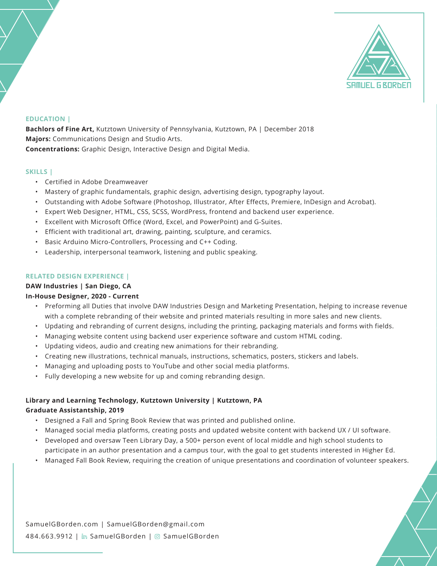

#### **EDUCATION |**

**Bachlors of Fine Art,** Kutztown University of Pennsylvania, Kutztown, PA | December 2018 **Majors:** Communications Design and Studio Arts. **Concentrations:** Graphic Design, Interactive Design and Digital Media.

#### **SKILLS |**

- Certified in Adobe Dreamweaver
- Mastery of graphic fundamentals, graphic design, advertising design, typography layout.
- Outstanding with Adobe Software (Photoshop, Illustrator, After Effects, Premiere, InDesign and Acrobat).
- Expert Web Designer, HTML, CSS, SCSS, WordPress, frontend and backend user experience.
- Excellent with Microsoft Office (Word, Excel, and PowerPoint) and G-Suites.
- Efficient with traditional art, drawing, painting, sculpture, and ceramics.
- Basic Arduino Micro-Controllers, Processing and C++ Coding.
- Leadership, interpersonal teamwork, listening and public speaking.

#### **RELATED DESIGN EXPERIENCE |**

#### **DAW Industries | San Diego, CA**

# **In-House Designer, 2020 - Current**

- Preforming all Duties that involve DAW Industries Design and Marketing Presentation, helping to increase revenue with a complete rebranding of their website and printed materials resulting in more sales and new clients.
- Updating and rebranding of current designs, including the printing, packaging materials and forms with fields.
- Managing website content using backend user experience software and custom HTML coding.
- Updating videos, audio and creating new animations for their rebranding.
- Creating new illustrations, technical manuals, instructions, schematics, posters, stickers and labels.
- Managing and uploading posts to YouTube and other social media platforms.
- Fully developing a new website for up and coming rebranding design.

# **Library and Learning Technology, Kutztown University | Kutztown, PA Graduate Assistantship, 2019**

- Designed a Fall and Spring Book Review that was printed and published online.
- Managed social media platforms, creating posts and updated website content with backend UX / UI software.
- Developed and oversaw Teen Library Day, a 500+ person event of local middle and high school students to participate in an author presentation and a campus tour, with the goal to get students interested in Higher Ed.
- Managed Fall Book Review, requiring the creation of unique presentations and coordination of volunteer speakers.